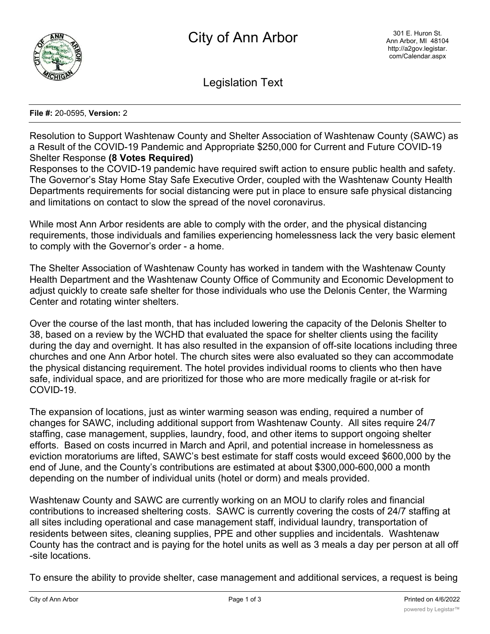

Legislation Text

## **File #:** 20-0595, **Version:** 2

Resolution to Support Washtenaw County and Shelter Association of Washtenaw County (SAWC) as a Result of the COVID-19 Pandemic and Appropriate \$250,000 for Current and Future COVID-19 Shelter Response **(8 Votes Required)**

Responses to the COVID-19 pandemic have required swift action to ensure public health and safety. The Governor's Stay Home Stay Safe Executive Order, coupled with the Washtenaw County Health Departments requirements for social distancing were put in place to ensure safe physical distancing and limitations on contact to slow the spread of the novel coronavirus.

While most Ann Arbor residents are able to comply with the order, and the physical distancing requirements, those individuals and families experiencing homelessness lack the very basic element to comply with the Governor's order - a home.

The Shelter Association of Washtenaw County has worked in tandem with the Washtenaw County Health Department and the Washtenaw County Office of Community and Economic Development to adjust quickly to create safe shelter for those individuals who use the Delonis Center, the Warming Center and rotating winter shelters.

Over the course of the last month, that has included lowering the capacity of the Delonis Shelter to 38, based on a review by the WCHD that evaluated the space for shelter clients using the facility during the day and overnight. It has also resulted in the expansion of off-site locations including three churches and one Ann Arbor hotel. The church sites were also evaluated so they can accommodate the physical distancing requirement. The hotel provides individual rooms to clients who then have safe, individual space, and are prioritized for those who are more medically fragile or at-risk for COVID-19.

The expansion of locations, just as winter warming season was ending, required a number of changes for SAWC, including additional support from Washtenaw County. All sites require 24/7 staffing, case management, supplies, laundry, food, and other items to support ongoing shelter efforts. Based on costs incurred in March and April, and potential increase in homelessness as eviction moratoriums are lifted, SAWC's best estimate for staff costs would exceed \$600,000 by the end of June, and the County's contributions are estimated at about \$300,000-600,000 a month depending on the number of individual units (hotel or dorm) and meals provided.

Washtenaw County and SAWC are currently working on an MOU to clarify roles and financial contributions to increased sheltering costs. SAWC is currently covering the costs of 24/7 staffing at all sites including operational and case management staff, individual laundry, transportation of residents between sites, cleaning supplies, PPE and other supplies and incidentals. Washtenaw County has the contract and is paying for the hotel units as well as 3 meals a day per person at all off -site locations.

To ensure the ability to provide shelter, case management and additional services, a request is being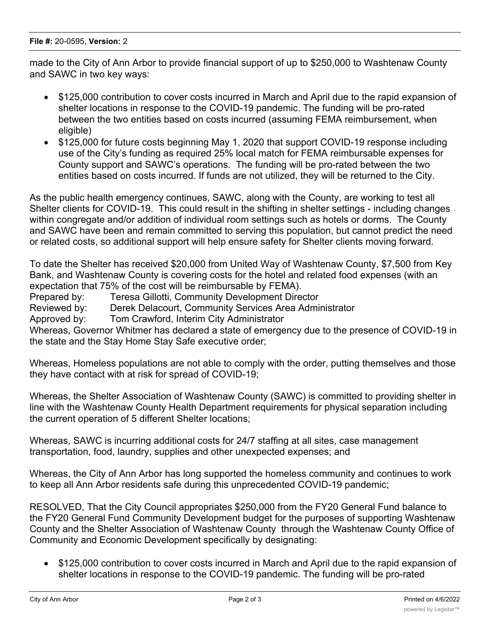made to the City of Ann Arbor to provide financial support of up to \$250,000 to Washtenaw County and SAWC in two key ways:

- · \$125,000 contribution to cover costs incurred in March and April due to the rapid expansion of shelter locations in response to the COVID-19 pandemic. The funding will be pro-rated between the two entities based on costs incurred (assuming FEMA reimbursement, when eligible)
- \$125,000 for future costs beginning May 1, 2020 that support COVID-19 response including use of the City's funding as required 25% local match for FEMA reimbursable expenses for County support and SAWC's operations. The funding will be pro-rated between the two entities based on costs incurred. If funds are not utilized, they will be returned to the City.

As the public health emergency continues, SAWC, along with the County, are working to test all Shelter clients for COVID-19. This could result in the shifting in shelter settings - including changes within congregate and/or addition of individual room settings such as hotels or dorms. The County and SAWC have been and remain committed to serving this population, but cannot predict the need or related costs, so additional support will help ensure safety for Shelter clients moving forward.

To date the Shelter has received \$20,000 from United Way of Washtenaw County, \$7,500 from Key Bank, and Washtenaw County is covering costs for the hotel and related food expenses (with an expectation that 75% of the cost will be reimbursable by FEMA).

Prepared by: Teresa Gillotti, Community Development Director

Reviewed by: Derek Delacourt, Community Services Area Administrator

Approved by: Tom Crawford, Interim City Administrator

Whereas, Governor Whitmer has declared a state of emergency due to the presence of COVID-19 in the state and the Stay Home Stay Safe executive order;

Whereas, Homeless populations are not able to comply with the order, putting themselves and those they have contact with at risk for spread of COVID-19;

Whereas, the Shelter Association of Washtenaw County (SAWC) is committed to providing shelter in line with the Washtenaw County Health Department requirements for physical separation including the current operation of 5 different Shelter locations;

Whereas, SAWC is incurring additional costs for 24/7 staffing at all sites, case management transportation, food, laundry, supplies and other unexpected expenses; and

Whereas, the City of Ann Arbor has long supported the homeless community and continues to work to keep all Ann Arbor residents safe during this unprecedented COVID-19 pandemic;

RESOLVED, That the City Council appropriates \$250,000 from the FY20 General Fund balance to the FY20 General Fund Community Development budget for the purposes of supporting Washtenaw County and the Shelter Association of Washtenaw County through the Washtenaw County Office of Community and Economic Development specifically by designating:

· \$125,000 contribution to cover costs incurred in March and April due to the rapid expansion of shelter locations in response to the COVID-19 pandemic. The funding will be pro-rated